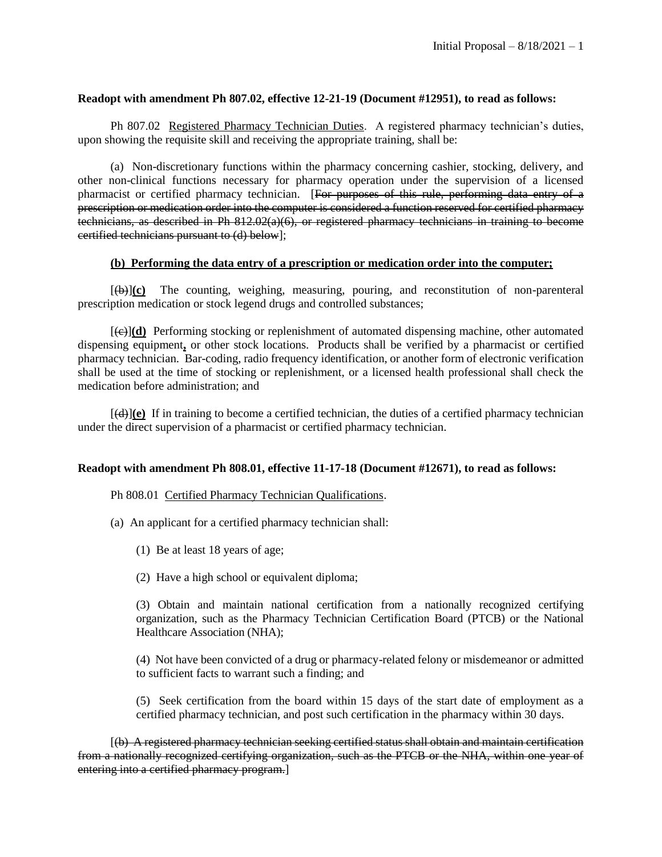## **Readopt with amendment Ph 807.02, effective 12-21-19 (Document #12951), to read as follows:**

Ph 807.02 Registered Pharmacy Technician Duties. A registered pharmacy technician's duties, upon showing the requisite skill and receiving the appropriate training, shall be:

(a) Non-discretionary functions within the pharmacy concerning cashier, stocking, delivery, and other non-clinical functions necessary for pharmacy operation under the supervision of a licensed pharmacist or certified pharmacy technician. [For purposes of this rule, performing data entry of a prescription or medication order into the computer is considered a function reserved for certified pharmacy technicians, as described in Ph 812.02(a)(6), or registered pharmacy technicians in training to become certified technicians pursuant to (d) below];

### **(b) Performing the data entry of a prescription or medication order into the computer;**

[(b)]**(c)** The counting, weighing, measuring, pouring, and reconstitution of non-parenteral prescription medication or stock legend drugs and controlled substances;

[(c)]**(d)** Performing stocking or replenishment of automated dispensing machine, other automated dispensing equipment**,** or other stock locations. Products shall be verified by a pharmacist or certified pharmacy technician. Bar-coding, radio frequency identification, or another form of electronic verification shall be used at the time of stocking or replenishment, or a licensed health professional shall check the medication before administration; and

 $[\langle \Theta \rangle](\mathbf{e})$  If in training to become a certified technician, the duties of a certified pharmacy technician under the direct supervision of a pharmacist or certified pharmacy technician.

### **Readopt with amendment Ph 808.01, effective 11-17-18 (Document #12671), to read as follows:**

## Ph 808.01 Certified Pharmacy Technician Qualifications.

- (a) An applicant for a certified pharmacy technician shall:
	- (1) Be at least 18 years of age;
	- (2) Have a high school or equivalent diploma;

(3) Obtain and maintain national certification from a nationally recognized certifying organization, such as the Pharmacy Technician Certification Board (PTCB) or the National Healthcare Association (NHA);

(4) Not have been convicted of a drug or pharmacy-related felony or misdemeanor or admitted to sufficient facts to warrant such a finding; and

(5) Seek certification from the board within 15 days of the start date of employment as a certified pharmacy technician, and post such certification in the pharmacy within 30 days.

[(b) A registered pharmacy technician seeking certified status shall obtain and maintain certification from a nationally recognized certifying organization, such as the PTCB or the NHA, within one year of entering into a certified pharmacy program.]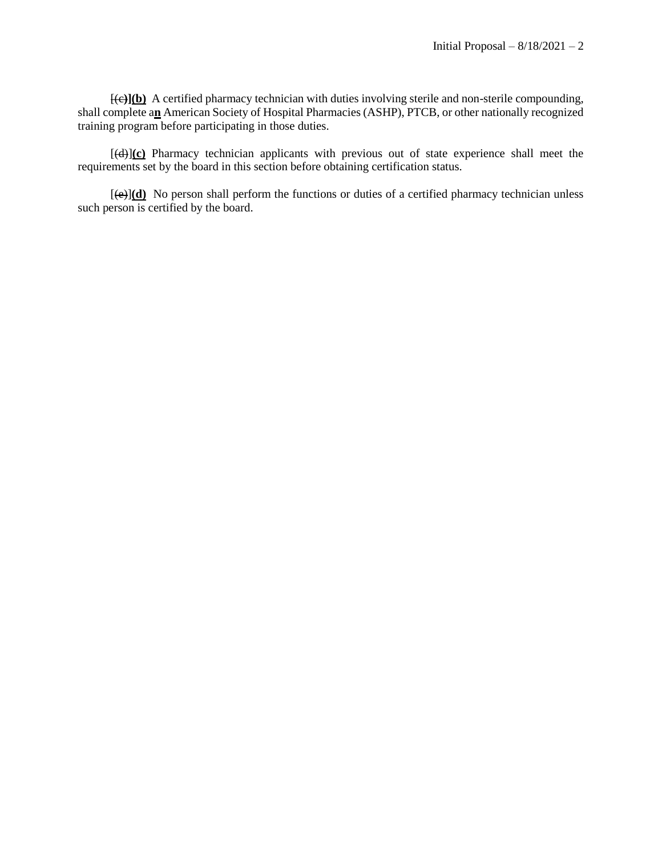[(c**)](b)** A certified pharmacy technician with duties involving sterile and non-sterile compounding, shall complete a**n** American Society of Hospital Pharmacies (ASHP), PTCB, or other nationally recognized training program before participating in those duties.

[(d)]**(c)** Pharmacy technician applicants with previous out of state experience shall meet the requirements set by the board in this section before obtaining certification status.

[(e)]**(d)** No person shall perform the functions or duties of a certified pharmacy technician unless such person is certified by the board.